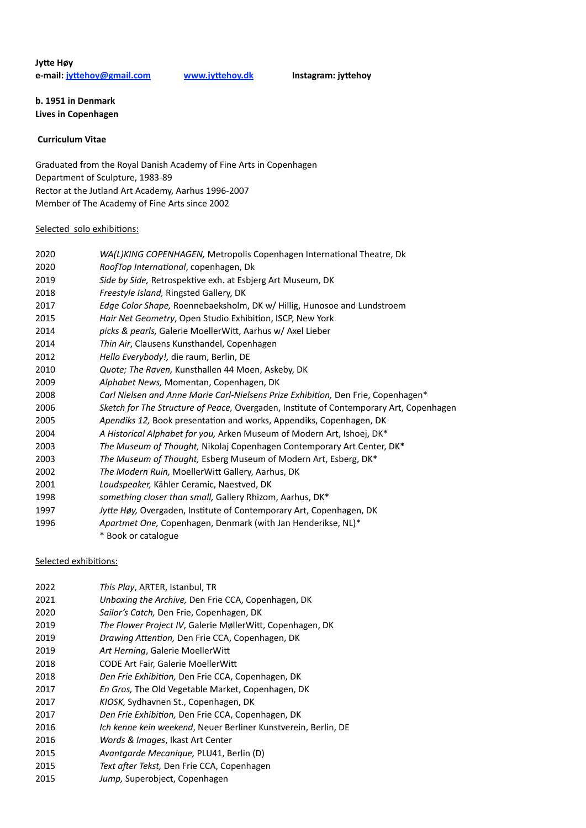**Jytte Høy** 

**e-mail: jyttehoy@gmail.com www.jyttehoy.dk** Instagram: jyttehoy

**b.** 1951 in Denmark **Lives in Copenhagen** 

## **Curriculum Vitae**

Graduated from the Royal Danish Academy of Fine Arts in Copenhagen Department of Sculpture, 1983-89 Rector at the Jutland Art Academy, Aarhus 1996-2007 Member of The Academy of Fine Arts since 2002

## Selected solo exhibitions:

| 2020 | WA(L)KING COPENHAGEN, Metropolis Copenhagen International Theatre, Dk                   |
|------|-----------------------------------------------------------------------------------------|
| 2020 | RoofTop International, copenhagen, Dk                                                   |
| 2019 | Side by Side, Retrospektive exh. at Esbjerg Art Museum, DK                              |
| 2018 | Freestyle Island, Ringsted Gallery, DK                                                  |
| 2017 | Edge Color Shape, Roennebaeksholm, DK w/ Hillig, Hunosoe and Lundstroem                 |
| 2015 | Hair Net Geometry, Open Studio Exhibition, ISCP, New York                               |
| 2014 | picks & pearls, Galerie MoellerWitt, Aarhus w/ Axel Lieber                              |
| 2014 | Thin Air, Clausens Kunsthandel, Copenhagen                                              |
| 2012 | Hello Everybody!, die raum, Berlin, DE                                                  |
| 2010 | Quote; The Raven, Kunsthallen 44 Moen, Askeby, DK                                       |
| 2009 | Alphabet News, Momentan, Copenhagen, DK                                                 |
| 2008 | Carl Nielsen and Anne Marie Carl-Nielsens Prize Exhibition, Den Frie, Copenhagen*       |
| 2006 | Sketch for The Structure of Peace, Overgaden, Institute of Contemporary Art, Copenhagen |
| 2005 | Apendiks 12, Book presentation and works, Appendiks, Copenhagen, DK                     |
| 2004 | A Historical Alphabet for you, Arken Museum of Modern Art, Ishoej, DK*                  |
| 2003 | The Museum of Thought, Nikolaj Copenhagen Contemporary Art Center, DK*                  |
| 2003 | The Museum of Thought, Esberg Museum of Modern Art, Esberg, DK*                         |
| 2002 | The Modern Ruin, MoellerWitt Gallery, Aarhus, DK                                        |
| 2001 | Loudspeaker, Kähler Ceramic, Naestved, DK                                               |
| 1998 | something closer than small, Gallery Rhizom, Aarhus, DK*                                |
| 1997 | Jytte Høy, Overgaden, Institute of Contemporary Art, Copenhagen, DK                     |
| 1996 | Apartmet One, Copenhagen, Denmark (with Jan Henderikse, NL)*                            |
|      | * Book or catalogue                                                                     |

## Selected exhibitions:

| 2022 | This Play, ARTER, Istanbul, TR                                 |
|------|----------------------------------------------------------------|
| 2021 | Unboxing the Archive, Den Frie CCA, Copenhagen, DK             |
| 2020 | Sailor's Catch, Den Frie, Copenhagen, DK                       |
| 2019 | The Flower Project IV, Galerie MøllerWitt, Copenhagen, DK      |
| 2019 | Drawing Attention, Den Frie CCA, Copenhagen, DK                |
| 2019 | Art Herning, Galerie MoellerWitt                               |
| 2018 | <b>CODE Art Fair, Galerie MoellerWitt</b>                      |
| 2018 | Den Frie Exhibition, Den Frie CCA, Copenhagen, DK              |
| 2017 | En Gros, The Old Vegetable Market, Copenhagen, DK              |
| 2017 | KIOSK, Sydhavnen St., Copenhagen, DK                           |
| 2017 | Den Frie Exhibition, Den Frie CCA, Copenhagen, DK              |
| 2016 | Ich kenne kein weekend, Neuer Berliner Kunstverein, Berlin, DE |
| 2016 | Words & Images, Ikast Art Center                               |
| 2015 | Avantgarde Mecanique, PLU41, Berlin (D)                        |
| 2015 | Text after Tekst, Den Frie CCA, Copenhagen                     |
| 2015 | Jump, Superobject, Copenhagen                                  |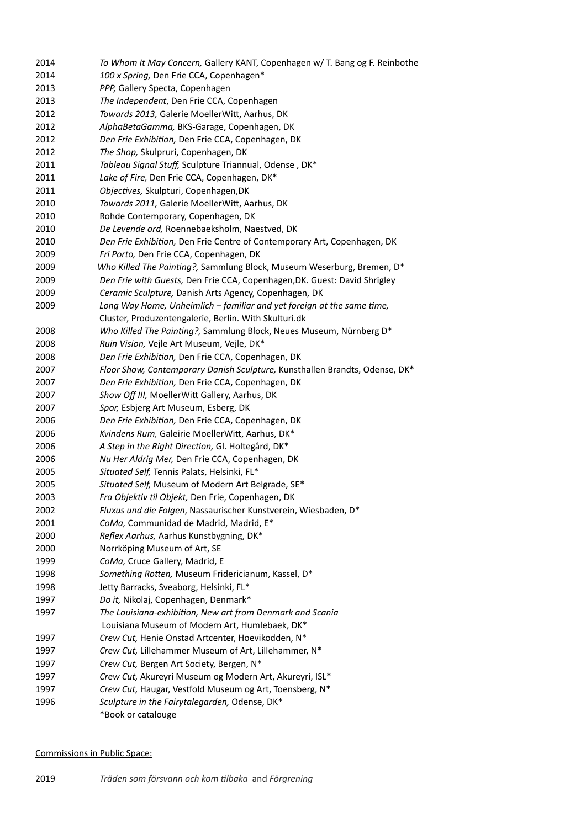| 2014 | To Whom It May Concern, Gallery KANT, Copenhagen w/ T. Bang og F. Reinbothe |
|------|-----------------------------------------------------------------------------|
| 2014 | 100 x Spring, Den Frie CCA, Copenhagen*                                     |
| 2013 | PPP, Gallery Specta, Copenhagen                                             |
| 2013 | The Independent, Den Frie CCA, Copenhagen                                   |
| 2012 | Towards 2013, Galerie MoellerWitt, Aarhus, DK                               |
| 2012 | AlphaBetaGamma, BKS-Garage, Copenhagen, DK                                  |
| 2012 | Den Frie Exhibition, Den Frie CCA, Copenhagen, DK                           |
| 2012 | The Shop, Skulpruri, Copenhagen, DK                                         |
| 2011 | Tableau Signal Stuff, Sculpture Triannual, Odense, DK*                      |
| 2011 | Lake of Fire, Den Frie CCA, Copenhagen, DK*                                 |
| 2011 | Objectives, Skulpturi, Copenhagen, DK                                       |
| 2010 | Towards 2011, Galerie MoellerWitt, Aarhus, DK                               |
| 2010 | Rohde Contemporary, Copenhagen, DK                                          |
| 2010 | De Levende ord, Roennebaeksholm, Naestved, DK                               |
| 2010 | Den Frie Exhibition, Den Frie Centre of Contemporary Art, Copenhagen, DK    |
| 2009 | Fri Porto, Den Frie CCA, Copenhagen, DK                                     |
| 2009 | Who Killed The Painting?, Sammlung Block, Museum Weserburg, Bremen, D*      |
| 2009 | Den Frie with Guests, Den Frie CCA, Copenhagen, DK. Guest: David Shrigley   |
| 2009 | Ceramic Sculpture, Danish Arts Agency, Copenhagen, DK                       |
| 2009 | Long Way Home, Unheimlich - familiar and yet foreign at the same time,      |
|      | Cluster, Produzentengalerie, Berlin. With Skulturi.dk                       |
| 2008 | Who Killed The Painting?, Sammlung Block, Neues Museum, Nürnberg D*         |
| 2008 | Ruin Vision, Vejle Art Museum, Vejle, DK*                                   |
| 2008 | Den Frie Exhibition, Den Frie CCA, Copenhagen, DK                           |
| 2007 | Floor Show, Contemporary Danish Sculpture, Kunsthallen Brandts, Odense, DK* |
| 2007 | Den Frie Exhibition, Den Frie CCA, Copenhagen, DK                           |
| 2007 | Show Off III, MoellerWitt Gallery, Aarhus, DK                               |
| 2007 | Spor, Esbjerg Art Museum, Esberg, DK                                        |
| 2006 | Den Frie Exhibition, Den Frie CCA, Copenhagen, DK                           |
| 2006 | Kvindens Rum, Galeirie MoellerWitt, Aarhus, DK*                             |
| 2006 | A Step in the Right Direction, Gl. Holtegård, DK*                           |
| 2006 | Nu Her Aldrig Mer, Den Frie CCA, Copenhagen, DK                             |
| 2005 | Situated Self, Tennis Palats, Helsinki, FL*                                 |
| 2005 | Situated Self, Museum of Modern Art Belgrade, SE*                           |
| 2003 | Fra Objektiv til Objekt, Den Frie, Copenhagen, DK                           |
| 2002 | Fluxus und die Folgen, Nassaurischer Kunstverein, Wiesbaden, D*             |
| 2001 | CoMa, Communidad de Madrid, Madrid, E*                                      |
| 2000 | Reflex Aarhus, Aarhus Kunstbygning, DK*                                     |
| 2000 | Norrköping Museum of Art, SE                                                |
| 1999 | CoMa, Cruce Gallery, Madrid, E                                              |
| 1998 | Something Rotten, Museum Fridericianum, Kassel, D*                          |
| 1998 | Jetty Barracks, Sveaborg, Helsinki, FL*                                     |
| 1997 | Do it, Nikolaj, Copenhagen, Denmark*                                        |
| 1997 | The Louisiana-exhibition, New art from Denmark and Scania                   |
|      | Louisiana Museum of Modern Art, Humlebaek, DK*                              |
| 1997 | Crew Cut, Henie Onstad Artcenter, Hoevikodden, N*                           |
| 1997 | Crew Cut, Lillehammer Museum of Art, Lillehammer, N*                        |
| 1997 | Crew Cut, Bergen Art Society, Bergen, N*                                    |
| 1997 | Crew Cut, Akureyri Museum og Modern Art, Akureyri, ISL*                     |
| 1997 | Crew Cut, Haugar, Vestfold Museum og Art, Toensberg, N*                     |
| 1996 | Sculpture in the Fairytalegarden, Odense, DK*                               |
|      | *Book or catalouge                                                          |
|      |                                                                             |

# Commissions in Public Space: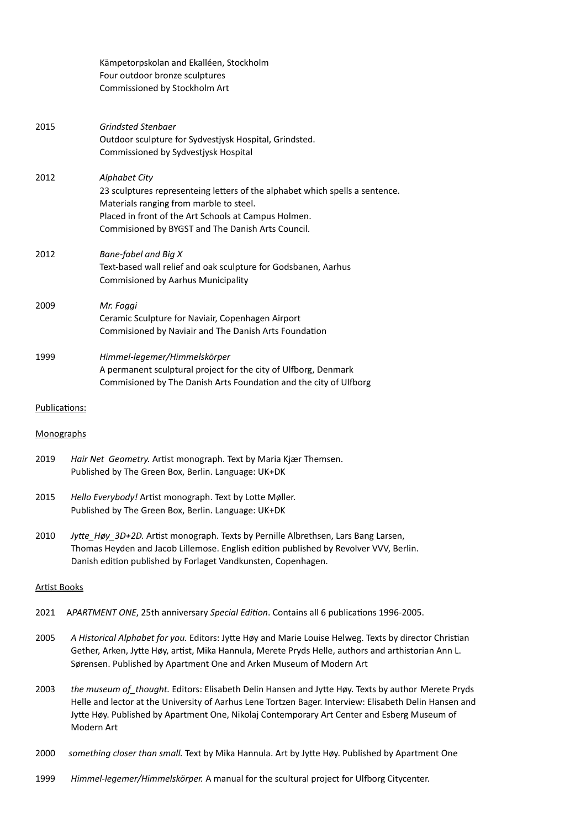|                     | Kämpetorpskolan and Ekalléen, Stockholm<br>Four outdoor bronze sculptures<br>Commissioned by Stockholm Art                                                                                                                                                                                                                |  |
|---------------------|---------------------------------------------------------------------------------------------------------------------------------------------------------------------------------------------------------------------------------------------------------------------------------------------------------------------------|--|
| 2015                | <b>Grindsted Stenbaer</b><br>Outdoor sculpture for Sydvestjysk Hospital, Grindsted.<br>Commissioned by Sydvestjysk Hospital                                                                                                                                                                                               |  |
| 2012                | <b>Alphabet City</b><br>23 sculptures representeing letters of the alphabet which spells a sentence.<br>Materials ranging from marble to steel.<br>Placed in front of the Art Schools at Campus Holmen.<br>Commisioned by BYGST and The Danish Arts Council.                                                              |  |
| 2012                | Bane-fabel and Big X<br>Text-based wall relief and oak sculpture for Godsbanen, Aarhus<br><b>Commisioned by Aarhus Municipality</b>                                                                                                                                                                                       |  |
| 2009                | Mr. Foggi<br>Ceramic Sculpture for Naviair, Copenhagen Airport<br>Commisioned by Naviair and The Danish Arts Foundation                                                                                                                                                                                                   |  |
| 1999                | Himmel-legemer/Himmelskörper<br>A permanent sculptural project for the city of Ulfborg, Denmark<br>Commisioned by The Danish Arts Foundation and the city of Ulfborg                                                                                                                                                      |  |
| Publications:       |                                                                                                                                                                                                                                                                                                                           |  |
| Monographs          |                                                                                                                                                                                                                                                                                                                           |  |
| 2019                | Hair Net Geometry. Artist monograph. Text by Maria Kjær Themsen.<br>Published by The Green Box, Berlin. Language: UK+DK                                                                                                                                                                                                   |  |
| 2015                | Hello Everybody! Artist monograph. Text by Lotte Møller.<br>Published by The Green Box, Berlin. Language: UK+DK                                                                                                                                                                                                           |  |
| 2010                | Jytte_Høy_3D+2D. Artist monograph. Texts by Pernille Albrethsen, Lars Bang Larsen,<br>Thomas Heyden and Jacob Lillemose. English edition published by Revolver VVV, Berlin.<br>Danish edition published by Forlaget Vandkunsten, Copenhagen.                                                                              |  |
| <b>Artist Books</b> |                                                                                                                                                                                                                                                                                                                           |  |
| 2021                | APARTMENT ONE, 25th anniversary Special Edition. Contains all 6 publications 1996-2005.                                                                                                                                                                                                                                   |  |
| 2005                | A Historical Alphabet for you. Editors: Jytte Høy and Marie Louise Helweg. Texts by director Christian<br>Gether, Arken, Jytte Høy, artist, Mika Hannula, Merete Pryds Helle, authors and arthistorian Ann L.<br>Sørensen. Published by Apartment One and Arken Museum of Modern Art                                      |  |
| 2003                | the museum of thought. Editors: Elisabeth Delin Hansen and Jytte Høy. Texts by author Merete Pryds<br>Helle and lector at the University of Aarhus Lene Tortzen Bager. Interview: Elisabeth Delin Hansen and<br>Jytte Høy. Published by Apartment One, Nikolaj Contemporary Art Center and Esberg Museum of<br>Modern Art |  |
| 2000                | something closer than small. Text by Mika Hannula. Art by Jytte Høy. Published by Apartment One                                                                                                                                                                                                                           |  |

1999 Himmel-legemer/Himmelskörper. A manual for the scultural project for Ulfborg Citycenter.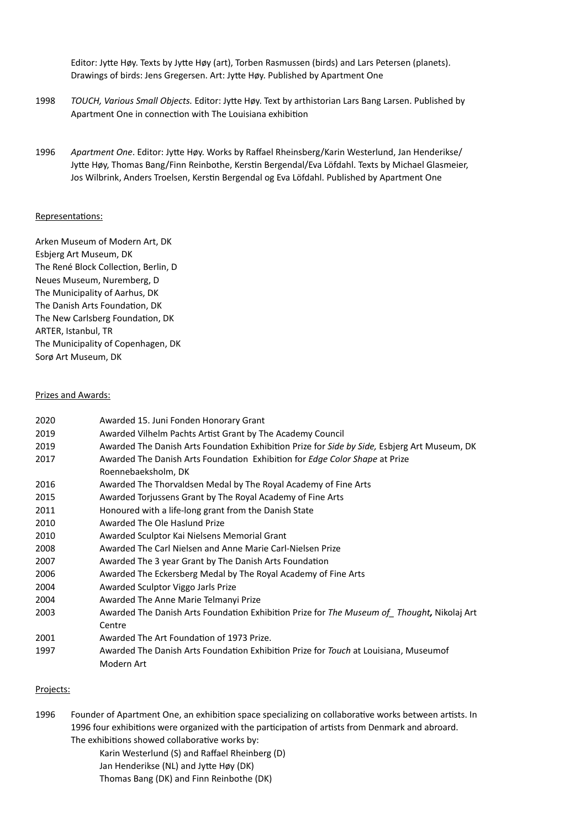Editor: Jytte Høy. Texts by Jytte Høy (art), Torben Rasmussen (birds) and Lars Petersen (planets). Drawings of birds: Jens Gregersen. Art: Jytte Høy. Published by Apartment One

- 1998 *TOUCH, Various Small Objects.* Editor: Jytte Høy. Text by arthistorian Lars Bang Larsen. Published by Apartment One in connection with The Louisiana exhibition
- 1996 Apartment One. Editor: Jytte Høy. Works by Raffael Rheinsberg/Karin Westerlund, Jan Henderikse/ Jytte Høy, Thomas Bang/Finn Reinbothe, Kerstin Bergendal/Eva Löfdahl. Texts by Michael Glasmeier, Jos Wilbrink, Anders Troelsen, Kerstin Bergendal og Eva Löfdahl. Published by Apartment One

#### Representations:

Arken Museum of Modern Art, DK Esbjerg Art Museum, DK The René Block Collection, Berlin, D Neues Museum, Nuremberg, D The Municipality of Aarhus, DK The Danish Arts Foundation, DK The New Carlsberg Foundation, DK ARTER, Istanbul, TR The Municipality of Copenhagen, DK Sorø Art Museum, DK

#### Prizes and Awards:

| 2020 | Awarded 15. Juni Fonden Honorary Grant                                                       |
|------|----------------------------------------------------------------------------------------------|
| 2019 | Awarded Vilhelm Pachts Artist Grant by The Academy Council                                   |
| 2019 | Awarded The Danish Arts Foundation Exhibition Prize for Side by Side, Esbjerg Art Museum, DK |
| 2017 | Awarded The Danish Arts Foundation Exhibition for <i>Edge Color Shape</i> at Prize           |
|      | Roennebaeksholm, DK                                                                          |
| 2016 | Awarded The Thorvaldsen Medal by The Royal Academy of Fine Arts                              |
| 2015 | Awarded Torjussens Grant by The Royal Academy of Fine Arts                                   |
| 2011 | Honoured with a life-long grant from the Danish State                                        |
| 2010 | Awarded The Ole Haslund Prize                                                                |
| 2010 | Awarded Sculptor Kai Nielsens Memorial Grant                                                 |
| 2008 | Awarded The Carl Nielsen and Anne Marie Carl-Nielsen Prize                                   |
| 2007 | Awarded The 3 year Grant by The Danish Arts Foundation                                       |
| 2006 | Awarded The Eckersberg Medal by The Royal Academy of Fine Arts                               |
| 2004 | Awarded Sculptor Viggo Jarls Prize                                                           |
| 2004 | Awarded The Anne Marie Telmanyi Prize                                                        |
| 2003 | Awarded The Danish Arts Foundation Exhibition Prize for The Museum of Thought, Nikolaj Art   |
|      | Centre                                                                                       |
| 2001 | Awarded The Art Foundation of 1973 Prize.                                                    |
| 1997 | Awarded The Danish Arts Foundation Exhibition Prize for Touch at Louisiana, Museumof         |
|      | Modern Art                                                                                   |
|      |                                                                                              |

## Projects:

1996 Founder of Apartment One, an exhibition space specializing on collaborative works between artists. In 1996 four exhibitions were organized with the participation of artists from Denmark and abroard. The exhibitions showed collaborative works by:

> Karin Westerlund (S) and Raffael Rheinberg (D) Jan Henderikse (NL) and Jytte Høy (DK) Thomas Bang (DK) and Finn Reinbothe (DK)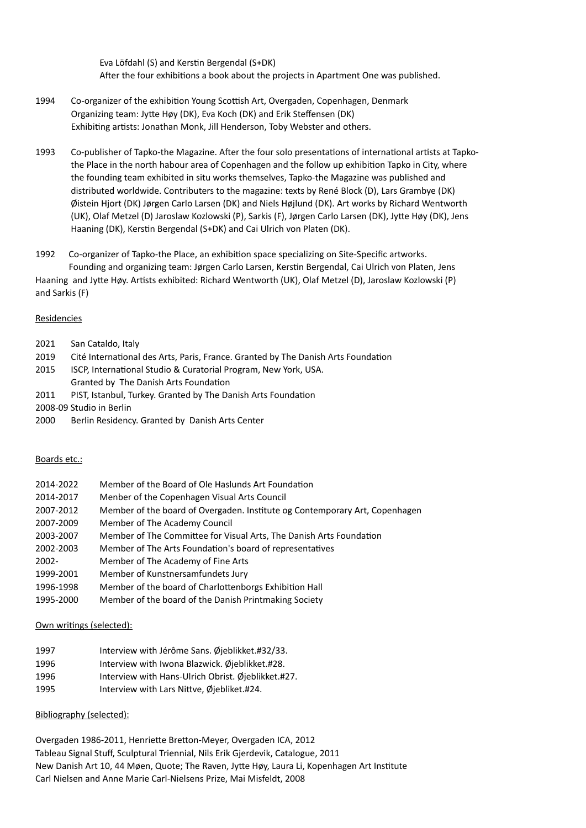Eva Löfdahl (S) and Kerstin Bergendal (S+DK) After the four exhibitions a book about the projects in Apartment One was published.

- 1994 Co-organizer of the exhibition Young Scottish Art, Overgaden, Copenhagen, Denmark Organizing team: Jytte Høy (DK), Eva Koch (DK) and Erik Steffensen (DK) Exhibiting artists: Jonathan Monk, Jill Henderson, Toby Webster and others.
- 1993 Co-publisher of Tapko-the Magazine. After the four solo presentations of international artists at Tapkothe Place in the north habour area of Copenhagen and the follow up exhibition Tapko in City, where the founding team exhibited in situ works themselves, Tapko-the Magazine was published and distributed worldwide. Contributers to the magazine: texts by René Block (D), Lars Grambye (DK) Øistein Hjort (DK) Jørgen Carlo Larsen (DK) and Niels Højlund (DK). Art works by Richard Wentworth (UK), Olaf Metzel (D) Jaroslaw Kozlowski (P), Sarkis (F), Jørgen Carlo Larsen (DK), Jytte Høy (DK), Jens Haaning (DK), Kerstin Bergendal (S+DK) and Cai Ulrich von Platen (DK).

1992 Co-organizer of Tapko-the Place, an exhibition space specializing on Site-Specific artworks. Founding and organizing team: Jørgen Carlo Larsen, Kerstin Bergendal, Cai Ulrich von Platen, Jens Haaning and Jytte Høy. Artists exhibited: Richard Wentworth (UK), Olaf Metzel (D), Jaroslaw Kozlowski (P) and Sarkis (F)

## Residencies

- 2021 San Cataldo, Italy
- 2019 Cité International des Arts, Paris, France. Granted by The Danish Arts Foundation
- 2015 ISCP, International Studio & Curatorial Program, New York, USA.
- Granted by The Danish Arts Foundation
- 2011 PIST, Istanbul, Turkey. Granted by The Danish Arts Foundation
- 2008-09 Studio in Berlin
- 2000 Berlin Residency. Granted by Danish Arts Center

## Boards etc.:

| 2014-2022 | Member of the Board of Ole Haslunds Art Foundation                          |
|-----------|-----------------------------------------------------------------------------|
| 2014-2017 | Menber of the Copenhagen Visual Arts Council                                |
| 2007-2012 | Member of the board of Overgaden. Institute og Contemporary Art, Copenhagen |
| 2007-2009 | Member of The Academy Council                                               |
| 2003-2007 | Member of The Committee for Visual Arts, The Danish Arts Foundation         |
| 2002-2003 | Member of The Arts Foundation's board of representatives                    |
| $2002 -$  | Member of The Academy of Fine Arts                                          |
| 1999-2001 | Member of Kunstnersamfundets Jury                                           |
| 1996-1998 | Member of the board of Charlottenborgs Exhibition Hall                      |
| 1995-2000 | Member of the board of the Danish Printmaking Society                       |

## Own writings (selected):

| 1997 | Interview with Jérôme Sans. Øjeblikket.#32/33. |
|------|------------------------------------------------|
|------|------------------------------------------------|

- 1996 Interview with Iwona Blazwick. Øjeblikket.#28.
- 1996 Interview with Hans-Ulrich Obrist. Øjeblikket.#27.
- 1995 **Interview with Lars Nittve, Øjebliket.#24.**

# Bibliography (selected):

Overgaden 1986-2011, Henriette Bretton-Meyer, Overgaden ICA, 2012 Tableau Signal Stuff, Sculptural Triennial, Nils Erik Gjerdevik, Catalogue, 2011 New Danish Art 10, 44 Møen, Quote; The Raven, Jytte Høy, Laura Li, Kopenhagen Art Institute Carl Nielsen and Anne Marie Carl-Nielsens Prize, Mai Misfeldt, 2008